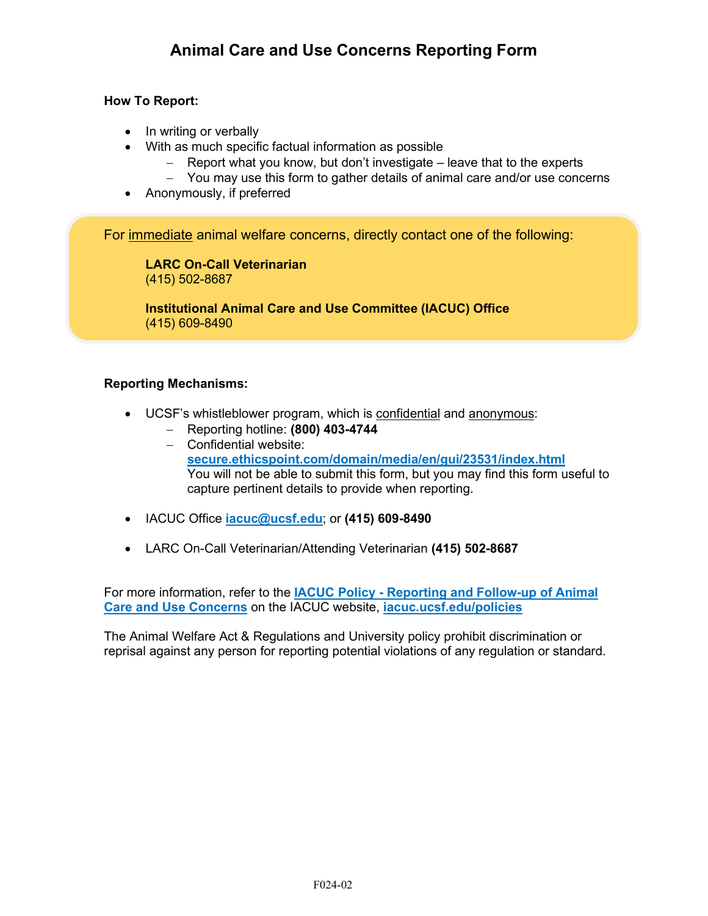## **How To Report:**

- In writing or verbally
- With as much specific factual information as possible
	- − Report what you know, but don't investigate leave that to the experts
	- − You may use this form to gather details of animal care and/or use concerns
- Anonymously, if preferred

For immediate animal welfare concerns, directly contact one of the following:

**LARC On-Call Veterinarian** (415) 502-8687

**Institutional Animal Care and Use Committee (IACUC) Office** (415) 609-8490

## **Reporting Mechanisms:**

- UCSF's whistleblower program, which is confidential and anonymous:
	- − Reporting hotline: **(800) 403-4744**
	- − Confidential website: **[secure.ethicspoint.com/domain/media/en/gui/23531/index.html](https://secure.ethicspoint.com/domain/media/en/gui/23531/index.html)** You will not be able to submit this form, but you may find this form useful to capture pertinent details to provide when reporting.
- IACUC Office **[iacuc@ucsf.edu](mailto:iacuc@ucsf.edu?subject=Animal%20Welfare%20Concern%20Report)**; or **(415) 609-8490**
- LARC On-Call Veterinarian/Attending Veterinarian **(415) 502-8687**

For more information, refer to the **IACUC Policy - [Reporting and Follow-up of Animal](https://iacuc.ucsf.edu/sites/g/files/tkssra751/f/wysiwyg/POLICY%20-%20Report%20and%20Follow%20up%20of%20Animal%20Care%20and%20Use%20Concerns.pdf)  [Care and Use Concerns](https://iacuc.ucsf.edu/sites/g/files/tkssra751/f/wysiwyg/POLICY%20-%20Report%20and%20Follow%20up%20of%20Animal%20Care%20and%20Use%20Concerns.pdf)** on the IACUC website, **[iacuc.ucsf.edu/policies](https://iacuc.ucsf.edu/policies)**

The Animal Welfare Act & Regulations and University policy prohibit discrimination or reprisal against any person for reporting potential violations of any regulation or standard.